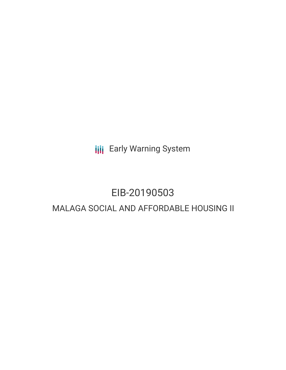**III** Early Warning System

# EIB-20190503

## MALAGA SOCIAL AND AFFORDABLE HOUSING II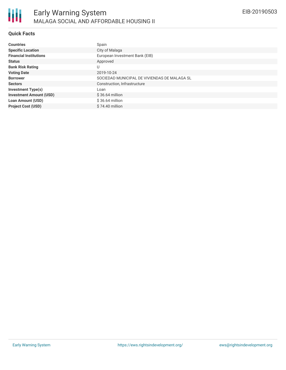### **Quick Facts**

| <b>Countries</b>               | Spain                                        |
|--------------------------------|----------------------------------------------|
|                                |                                              |
| <b>Specific Location</b>       | City of Malaga                               |
| <b>Financial Institutions</b>  | European Investment Bank (EIB)               |
| <b>Status</b>                  | Approved                                     |
| <b>Bank Risk Rating</b>        | U                                            |
| <b>Voting Date</b>             | 2019-10-24                                   |
| <b>Borrower</b>                | SOCIEDAD MUNICIPAL DE VIVIENDAS DE MALAGA SL |
| <b>Sectors</b>                 | Construction, Infrastructure                 |
| <b>Investment Type(s)</b>      | Loan                                         |
| <b>Investment Amount (USD)</b> | $$36.64$ million                             |
| <b>Loan Amount (USD)</b>       | $$36.64$ million                             |
| <b>Project Cost (USD)</b>      | $$74.40$ million                             |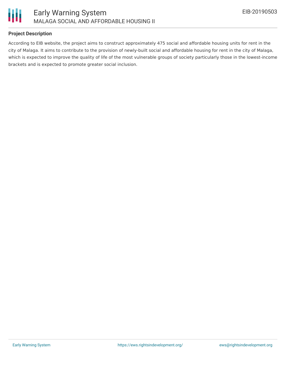

#### **Project Description**

According to EIB website, the project aims to construct approximately 475 social and affordable housing units for rent in the city of Malaga. It aims to contribute to the provision of newly-built social and affordable housing for rent in the city of Malaga, which is expected to improve the quality of life of the most vulnerable groups of society particularly those in the lowest-income brackets and is expected to promote greater social inclusion.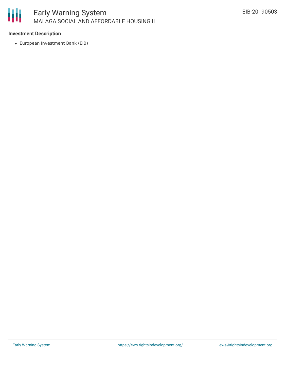

#### **Investment Description**

European Investment Bank (EIB)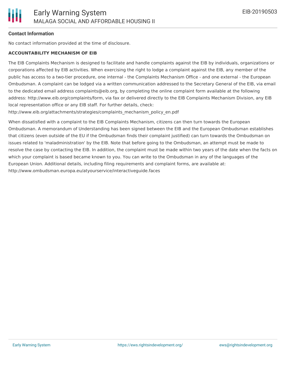#### **Contact Information**

No contact information provided at the time of disclosure.

#### **ACCOUNTABILITY MECHANISM OF EIB**

The EIB Complaints Mechanism is designed to facilitate and handle complaints against the EIB by individuals, organizations or corporations affected by EIB activities. When exercising the right to lodge a complaint against the EIB, any member of the public has access to a two-tier procedure, one internal - the Complaints Mechanism Office - and one external - the European Ombudsman. A complaint can be lodged via a written communication addressed to the Secretary General of the EIB, via email to the dedicated email address complaints@eib.org, by completing the online complaint form available at the following address: http://www.eib.org/complaints/form, via fax or delivered directly to the EIB Complaints Mechanism Division, any EIB local representation office or any EIB staff. For further details, check:

http://www.eib.org/attachments/strategies/complaints\_mechanism\_policy\_en.pdf

When dissatisfied with a complaint to the EIB Complaints Mechanism, citizens can then turn towards the European Ombudsman. A memorandum of Understanding has been signed between the EIB and the European Ombudsman establishes that citizens (even outside of the EU if the Ombudsman finds their complaint justified) can turn towards the Ombudsman on issues related to 'maladministration' by the EIB. Note that before going to the Ombudsman, an attempt must be made to resolve the case by contacting the EIB. In addition, the complaint must be made within two years of the date when the facts on which your complaint is based became known to you. You can write to the Ombudsman in any of the languages of the European Union. Additional details, including filing requirements and complaint forms, are available at: http://www.ombudsman.europa.eu/atyourservice/interactiveguide.faces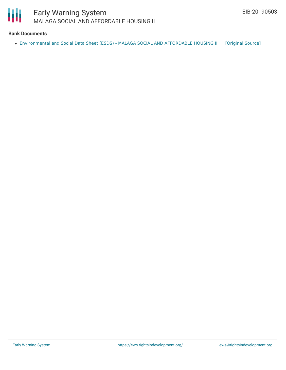

#### **Bank Documents**

• [Environmental](https://ewsdata.rightsindevelopment.org/files/documents/03/EIB-20190503.pdf) and Social Data Sheet (ESDS) - MALAGA SOCIAL AND AFFORDABLE HOUSING II [\[Original](https://www.eib.org/en/registers/all/119273802) Source]